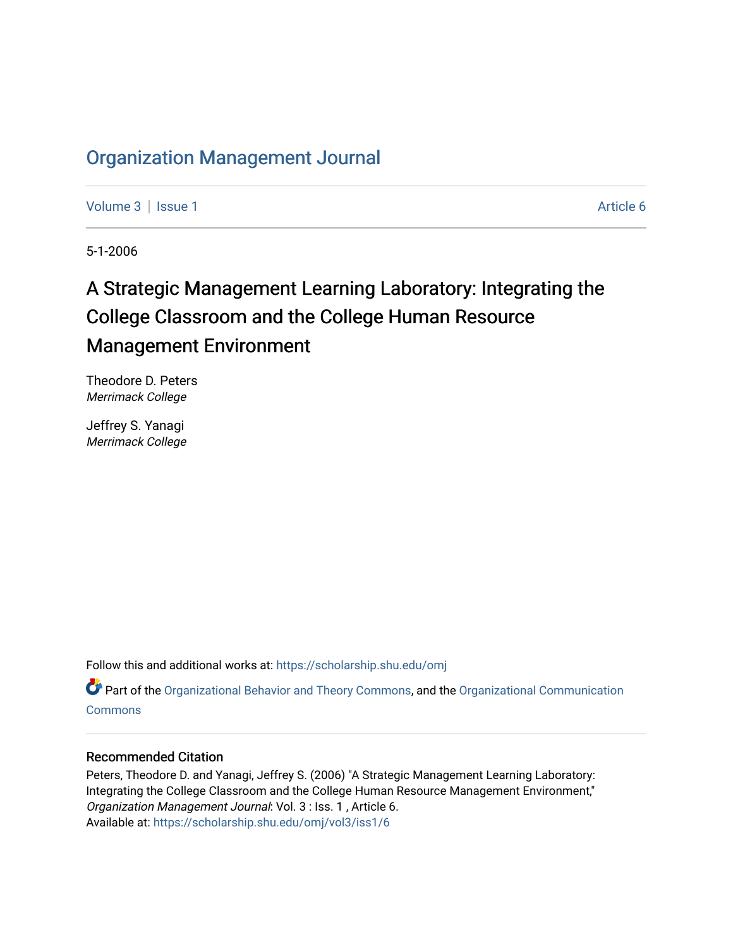# [Organization Management Journal](https://scholarship.shu.edu/omj)

[Volume 3](https://scholarship.shu.edu/omj/vol3) | [Issue 1](https://scholarship.shu.edu/omj/vol3/iss1) Article 6

5-1-2006

# A Strategic Management Learning Laboratory: Integrating the College Classroom and the College Human Resource Management Environment

Theodore D. Peters Merrimack College

Jeffrey S. Yanagi Merrimack College

Follow this and additional works at: [https://scholarship.shu.edu/omj](https://scholarship.shu.edu/omj?utm_source=scholarship.shu.edu%2Fomj%2Fvol3%2Fiss1%2F6&utm_medium=PDF&utm_campaign=PDFCoverPages) 

Part of the [Organizational Behavior and Theory Commons,](http://network.bepress.com/hgg/discipline/639?utm_source=scholarship.shu.edu%2Fomj%2Fvol3%2Fiss1%2F6&utm_medium=PDF&utm_campaign=PDFCoverPages) and the [Organizational Communication](http://network.bepress.com/hgg/discipline/335?utm_source=scholarship.shu.edu%2Fomj%2Fvol3%2Fiss1%2F6&utm_medium=PDF&utm_campaign=PDFCoverPages) [Commons](http://network.bepress.com/hgg/discipline/335?utm_source=scholarship.shu.edu%2Fomj%2Fvol3%2Fiss1%2F6&utm_medium=PDF&utm_campaign=PDFCoverPages)

#### Recommended Citation

Peters, Theodore D. and Yanagi, Jeffrey S. (2006) "A Strategic Management Learning Laboratory: Integrating the College Classroom and the College Human Resource Management Environment," Organization Management Journal: Vol. 3 : Iss. 1 , Article 6. Available at: [https://scholarship.shu.edu/omj/vol3/iss1/6](https://scholarship.shu.edu/omj/vol3/iss1/6?utm_source=scholarship.shu.edu%2Fomj%2Fvol3%2Fiss1%2F6&utm_medium=PDF&utm_campaign=PDFCoverPages)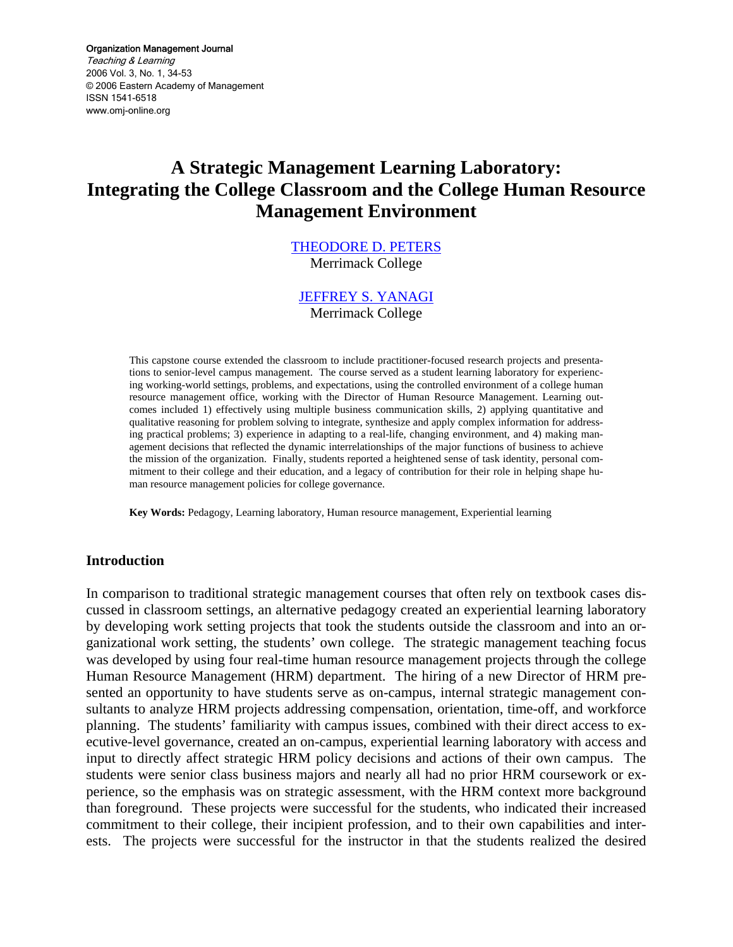Organization Management Journal Teaching & Learning 2006 Vol. 3, No. 1, 34-53 © 2006 Eastern Academy of Management ISSN 1541-6518 www.omj-online.org

# **A Strategic Management Learning Laboratory: Integrating the College Classroom and the College Human Resource Management Environment**

[THEODORE D. PETERS](mailto:theodore.peters@merrimack.edu) Merrimack College

#### [JEFFREY S. YANAGI](mailto:jeffrey.yanagi@merrimack.edu) Merrimack College

This capstone course extended the classroom to include practitioner-focused research projects and presentations to senior-level campus management. The course served as a student learning laboratory for experiencing working-world settings, problems, and expectations, using the controlled environment of a college human resource management office, working with the Director of Human Resource Management. Learning outcomes included 1) effectively using multiple business communication skills, 2) applying quantitative and qualitative reasoning for problem solving to integrate, synthesize and apply complex information for addressing practical problems; 3) experience in adapting to a real-life, changing environment, and 4) making management decisions that reflected the dynamic interrelationships of the major functions of business to achieve the mission of the organization. Finally, students reported a heightened sense of task identity, personal commitment to their college and their education, and a legacy of contribution for their role in helping shape human resource management policies for college governance.

**Key Words:** Pedagogy, Learning laboratory, Human resource management, Experiential learning

#### **Introduction**

In comparison to traditional strategic management courses that often rely on textbook cases discussed in classroom settings, an alternative pedagogy created an experiential learning laboratory by developing work setting projects that took the students outside the classroom and into an organizational work setting, the students' own college. The strategic management teaching focus was developed by using four real-time human resource management projects through the college Human Resource Management (HRM) department. The hiring of a new Director of HRM presented an opportunity to have students serve as on-campus, internal strategic management consultants to analyze HRM projects addressing compensation, orientation, time-off, and workforce planning. The students' familiarity with campus issues, combined with their direct access to executive-level governance, created an on-campus, experiential learning laboratory with access and input to directly affect strategic HRM policy decisions and actions of their own campus. The students were senior class business majors and nearly all had no prior HRM coursework or experience, so the emphasis was on strategic assessment, with the HRM context more background than foreground. These projects were successful for the students, who indicated their increased commitment to their college, their incipient profession, and to their own capabilities and interests. The projects were successful for the instructor in that the students realized the desired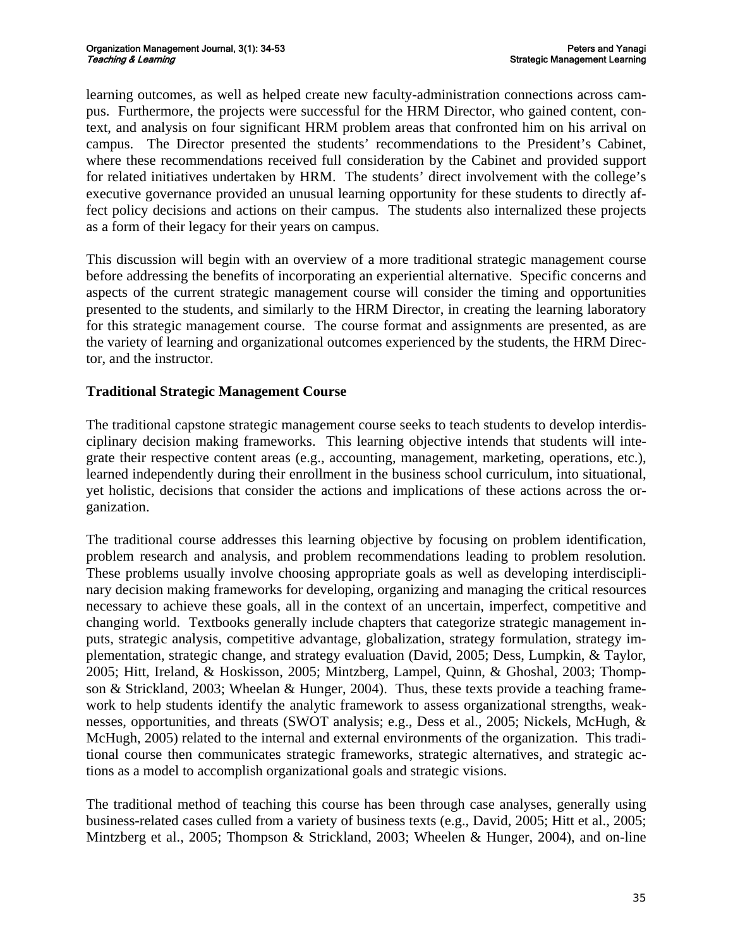learning outcomes, as well as helped create new faculty-administration connections across campus. Furthermore, the projects were successful for the HRM Director, who gained content, context, and analysis on four significant HRM problem areas that confronted him on his arrival on campus. The Director presented the students' recommendations to the President's Cabinet, where these recommendations received full consideration by the Cabinet and provided support for related initiatives undertaken by HRM. The students' direct involvement with the college's executive governance provided an unusual learning opportunity for these students to directly affect policy decisions and actions on their campus. The students also internalized these projects as a form of their legacy for their years on campus.

This discussion will begin with an overview of a more traditional strategic management course before addressing the benefits of incorporating an experiential alternative. Specific concerns and aspects of the current strategic management course will consider the timing and opportunities presented to the students, and similarly to the HRM Director, in creating the learning laboratory for this strategic management course. The course format and assignments are presented, as are the variety of learning and organizational outcomes experienced by the students, the HRM Director, and the instructor.

# **Traditional Strategic Management Course**

The traditional capstone strategic management course seeks to teach students to develop interdisciplinary decision making frameworks. This learning objective intends that students will integrate their respective content areas (e.g., accounting, management, marketing, operations, etc.), learned independently during their enrollment in the business school curriculum, into situational, yet holistic, decisions that consider the actions and implications of these actions across the organization.

The traditional course addresses this learning objective by focusing on problem identification, problem research and analysis, and problem recommendations leading to problem resolution. These problems usually involve choosing appropriate goals as well as developing interdisciplinary decision making frameworks for developing, organizing and managing the critical resources necessary to achieve these goals, all in the context of an uncertain, imperfect, competitive and changing world. Textbooks generally include chapters that categorize strategic management inputs, strategic analysis, competitive advantage, globalization, strategy formulation, strategy implementation, strategic change, and strategy evaluation (David, 2005; Dess, Lumpkin, & Taylor, 2005; Hitt, Ireland, & Hoskisson, 2005; Mintzberg, Lampel, Quinn, & Ghoshal, 2003; Thompson & Strickland, 2003; Wheelan & Hunger, 2004). Thus, these texts provide a teaching framework to help students identify the analytic framework to assess organizational strengths, weaknesses, opportunities, and threats (SWOT analysis; e.g., Dess et al., 2005; Nickels, McHugh, & McHugh, 2005) related to the internal and external environments of the organization. This traditional course then communicates strategic frameworks, strategic alternatives, and strategic actions as a model to accomplish organizational goals and strategic visions.

The traditional method of teaching this course has been through case analyses, generally using business-related cases culled from a variety of business texts (e.g., David, 2005; Hitt et al., 2005; Mintzberg et al., 2005; Thompson & Strickland, 2003; Wheelen & Hunger, 2004), and on-line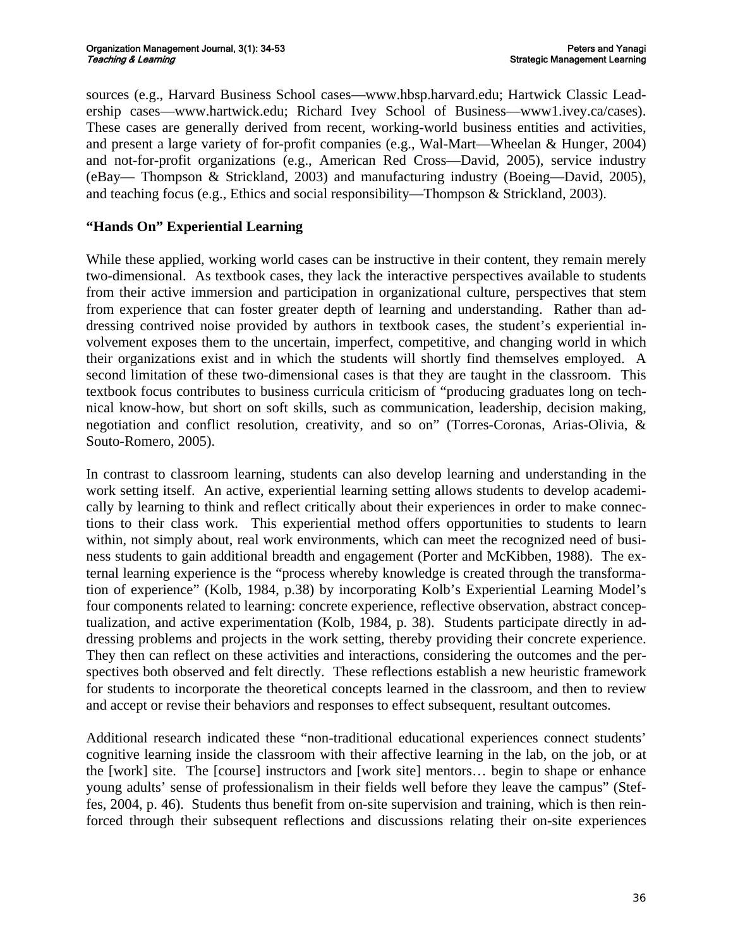sources (e.g., Harvard Business School cases[—www.hbsp.harvard.edu](http://www.hbsp.harvard.edu/); Hartwick Classic Leadership cases—www.hartwick.edu; Richard Ivey School of Business—www1.ivey.ca/cases). These cases are generally derived from recent, working-world business entities and activities, and present a large variety of for-profit companies (e.g., Wal-Mart—Wheelan & Hunger, 2004) and not-for-profit organizations (e.g., American Red Cross—David, 2005), service industry (eBay— Thompson & Strickland, 2003) and manufacturing industry (Boeing—David, 2005), and teaching focus (e.g., Ethics and social responsibility—Thompson & Strickland, 2003).

# **"Hands On" Experiential Learning**

While these applied, working world cases can be instructive in their content, they remain merely two-dimensional. As textbook cases, they lack the interactive perspectives available to students from their active immersion and participation in organizational culture, perspectives that stem from experience that can foster greater depth of learning and understanding. Rather than addressing contrived noise provided by authors in textbook cases, the student's experiential involvement exposes them to the uncertain, imperfect, competitive, and changing world in which their organizations exist and in which the students will shortly find themselves employed. A second limitation of these two-dimensional cases is that they are taught in the classroom. This textbook focus contributes to business curricula criticism of "producing graduates long on technical know-how, but short on soft skills, such as communication, leadership, decision making, negotiation and conflict resolution, creativity, and so on" (Torres-Coronas, Arias-Olivia, & Souto-Romero, 2005).

In contrast to classroom learning, students can also develop learning and understanding in the work setting itself. An active, experiential learning setting allows students to develop academically by learning to think and reflect critically about their experiences in order to make connections to their class work. This experiential method offers opportunities to students to learn within, not simply about, real work environments, which can meet the recognized need of business students to gain additional breadth and engagement (Porter and McKibben, 1988). The external learning experience is the "process whereby knowledge is created through the transformation of experience" (Kolb, 1984, p.38) by incorporating Kolb's Experiential Learning Model's four components related to learning: concrete experience, reflective observation, abstract conceptualization, and active experimentation (Kolb, 1984, p. 38). Students participate directly in addressing problems and projects in the work setting, thereby providing their concrete experience. They then can reflect on these activities and interactions, considering the outcomes and the perspectives both observed and felt directly. These reflections establish a new heuristic framework for students to incorporate the theoretical concepts learned in the classroom, and then to review and accept or revise their behaviors and responses to effect subsequent, resultant outcomes.

Additional research indicated these "non-traditional educational experiences connect students' cognitive learning inside the classroom with their affective learning in the lab, on the job, or at the [work] site. The [course] instructors and [work site] mentors… begin to shape or enhance young adults' sense of professionalism in their fields well before they leave the campus" (Steffes, 2004, p. 46). Students thus benefit from on-site supervision and training, which is then reinforced through their subsequent reflections and discussions relating their on-site experiences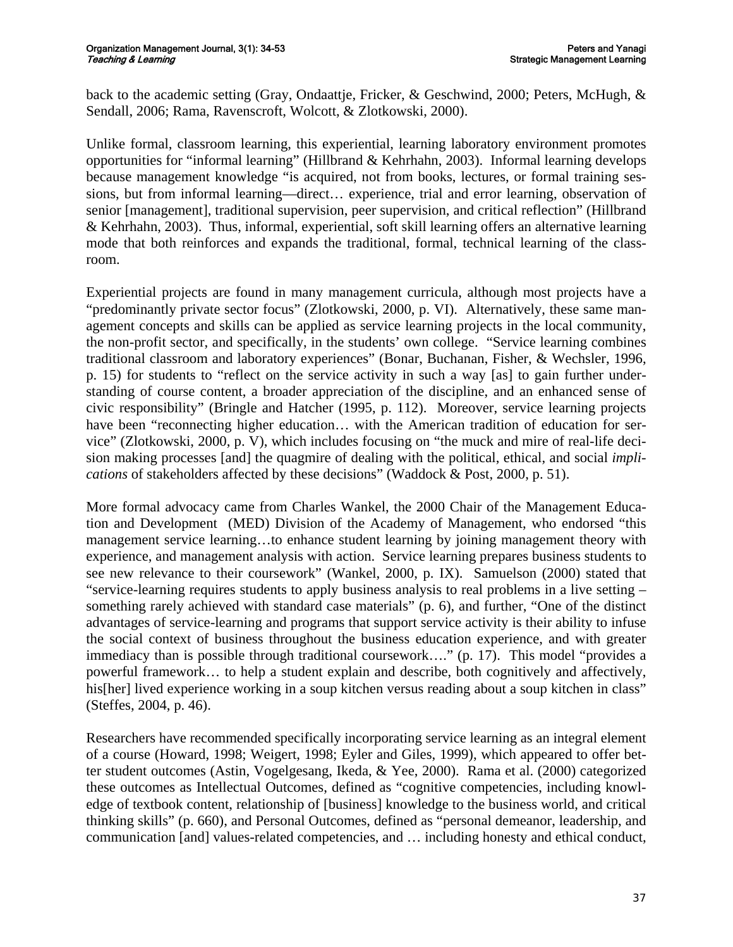back to the academic setting (Gray, Ondaattje, Fricker, & Geschwind, 2000; Peters, McHugh, & Sendall, 2006; Rama, Ravenscroft, Wolcott, & Zlotkowski, 2000).

Unlike formal, classroom learning, this experiential, learning laboratory environment promotes opportunities for "informal learning" (Hillbrand & Kehrhahn, 2003). Informal learning develops because management knowledge "is acquired, not from books, lectures, or formal training sessions, but from informal learning—direct… experience, trial and error learning, observation of senior [management], traditional supervision, peer supervision, and critical reflection" (Hillbrand & Kehrhahn, 2003). Thus, informal, experiential, soft skill learning offers an alternative learning mode that both reinforces and expands the traditional, formal, technical learning of the classroom.

Experiential projects are found in many management curricula, although most projects have a "predominantly private sector focus" (Zlotkowski, 2000, p. VI). Alternatively, these same management concepts and skills can be applied as service learning projects in the local community, the non-profit sector, and specifically, in the students' own college. "Service learning combines traditional classroom and laboratory experiences" (Bonar, Buchanan, Fisher, & Wechsler, 1996, p. 15) for students to "reflect on the service activity in such a way [as] to gain further understanding of course content, a broader appreciation of the discipline, and an enhanced sense of civic responsibility" (Bringle and Hatcher (1995, p. 112). Moreover, service learning projects have been "reconnecting higher education... with the American tradition of education for service" (Zlotkowski, 2000, p. V), which includes focusing on "the muck and mire of real-life decision making processes [and] the quagmire of dealing with the political, ethical, and social *implications* of stakeholders affected by these decisions" (Waddock & Post, 2000, p. 51).

More formal advocacy came from Charles Wankel, the 2000 Chair of the Management Education and Development (MED) Division of the Academy of Management, who endorsed "this management service learning…to enhance student learning by joining management theory with experience, and management analysis with action. Service learning prepares business students to see new relevance to their coursework" (Wankel, 2000, p. IX). Samuelson (2000) stated that "service-learning requires students to apply business analysis to real problems in a live setting – something rarely achieved with standard case materials" (p. 6), and further, "One of the distinct advantages of service-learning and programs that support service activity is their ability to infuse the social context of business throughout the business education experience, and with greater immediacy than is possible through traditional coursework…." (p. 17). This model "provides a powerful framework… to help a student explain and describe, both cognitively and affectively, his[her] lived experience working in a soup kitchen versus reading about a soup kitchen in class" (Steffes, 2004, p. 46).

Researchers have recommended specifically incorporating service learning as an integral element of a course (Howard, 1998; Weigert, 1998; Eyler and Giles, 1999), which appeared to offer better student outcomes (Astin, Vogelgesang, Ikeda, & Yee, 2000). Rama et al. (2000) categorized these outcomes as Intellectual Outcomes, defined as "cognitive competencies, including knowledge of textbook content, relationship of [business] knowledge to the business world, and critical thinking skills" (p. 660), and Personal Outcomes, defined as "personal demeanor, leadership, and communication [and] values-related competencies, and … including honesty and ethical conduct,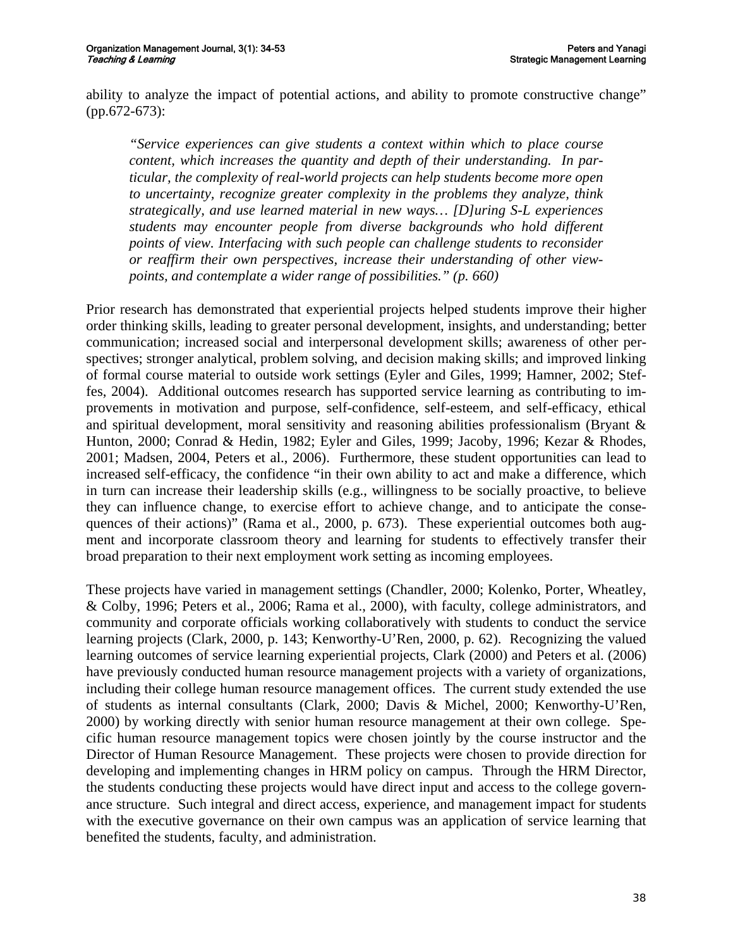ability to analyze the impact of potential actions, and ability to promote constructive change" (pp.672-673):

*"Service experiences can give students a context within which to place course content, which increases the quantity and depth of their understanding. In particular, the complexity of real-world projects can help students become more open to uncertainty, recognize greater complexity in the problems they analyze, think strategically, and use learned material in new ways… [D]uring S-L experiences students may encounter people from diverse backgrounds who hold different points of view. Interfacing with such people can challenge students to reconsider or reaffirm their own perspectives, increase their understanding of other viewpoints, and contemplate a wider range of possibilities." (p. 660)* 

Prior research has demonstrated that experiential projects helped students improve their higher order thinking skills, leading to greater personal development, insights, and understanding; better communication; increased social and interpersonal development skills; awareness of other perspectives; stronger analytical, problem solving, and decision making skills; and improved linking of formal course material to outside work settings (Eyler and Giles, 1999; Hamner, 2002; Steffes, 2004). Additional outcomes research has supported service learning as contributing to improvements in motivation and purpose, self-confidence, self-esteem, and self-efficacy, ethical and spiritual development, moral sensitivity and reasoning abilities professionalism (Bryant & Hunton, 2000; Conrad & Hedin, 1982; Eyler and Giles, 1999; Jacoby, 1996; Kezar & Rhodes, 2001; Madsen, 2004, Peters et al., 2006). Furthermore, these student opportunities can lead to increased self-efficacy, the confidence "in their own ability to act and make a difference, which in turn can increase their leadership skills (e.g., willingness to be socially proactive, to believe they can influence change, to exercise effort to achieve change, and to anticipate the consequences of their actions)" (Rama et al., 2000, p. 673). These experiential outcomes both augment and incorporate classroom theory and learning for students to effectively transfer their broad preparation to their next employment work setting as incoming employees.

These projects have varied in management settings (Chandler, 2000; Kolenko, Porter, Wheatley, & Colby, 1996; Peters et al., 2006; Rama et al., 2000), with faculty, college administrators, and community and corporate officials working collaboratively with students to conduct the service learning projects (Clark, 2000, p. 143; Kenworthy-U'Ren, 2000, p. 62). Recognizing the valued learning outcomes of service learning experiential projects, Clark (2000) and Peters et al. (2006) have previously conducted human resource management projects with a variety of organizations, including their college human resource management offices. The current study extended the use of students as internal consultants (Clark, 2000; Davis & Michel, 2000; Kenworthy-U'Ren, 2000) by working directly with senior human resource management at their own college. Specific human resource management topics were chosen jointly by the course instructor and the Director of Human Resource Management. These projects were chosen to provide direction for developing and implementing changes in HRM policy on campus. Through the HRM Director, the students conducting these projects would have direct input and access to the college governance structure. Such integral and direct access, experience, and management impact for students with the executive governance on their own campus was an application of service learning that benefited the students, faculty, and administration.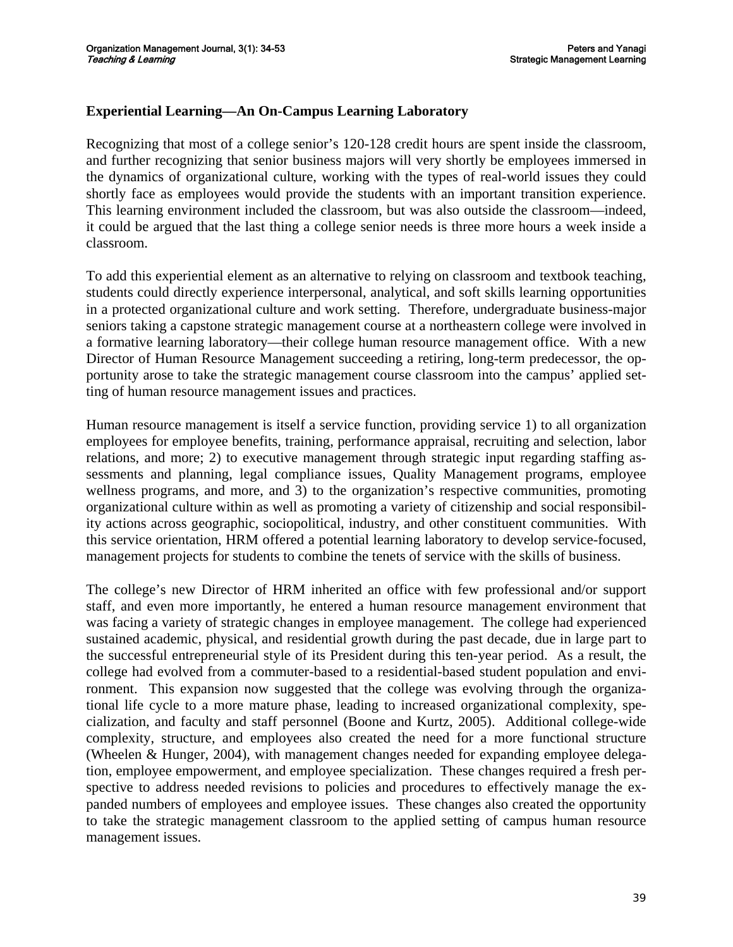# **Experiential Learning—An On-Campus Learning Laboratory**

Recognizing that most of a college senior's 120-128 credit hours are spent inside the classroom, and further recognizing that senior business majors will very shortly be employees immersed in the dynamics of organizational culture, working with the types of real-world issues they could shortly face as employees would provide the students with an important transition experience. This learning environment included the classroom, but was also outside the classroom—indeed, it could be argued that the last thing a college senior needs is three more hours a week inside a classroom.

To add this experiential element as an alternative to relying on classroom and textbook teaching, students could directly experience interpersonal, analytical, and soft skills learning opportunities in a protected organizational culture and work setting. Therefore, undergraduate business-major seniors taking a capstone strategic management course at a northeastern college were involved in a formative learning laboratory—their college human resource management office. With a new Director of Human Resource Management succeeding a retiring, long-term predecessor, the opportunity arose to take the strategic management course classroom into the campus' applied setting of human resource management issues and practices.

Human resource management is itself a service function, providing service 1) to all organization employees for employee benefits, training, performance appraisal, recruiting and selection, labor relations, and more; 2) to executive management through strategic input regarding staffing assessments and planning, legal compliance issues, Quality Management programs, employee wellness programs, and more, and 3) to the organization's respective communities, promoting organizational culture within as well as promoting a variety of citizenship and social responsibility actions across geographic, sociopolitical, industry, and other constituent communities. With this service orientation, HRM offered a potential learning laboratory to develop service-focused, management projects for students to combine the tenets of service with the skills of business.

The college's new Director of HRM inherited an office with few professional and/or support staff, and even more importantly, he entered a human resource management environment that was facing a variety of strategic changes in employee management. The college had experienced sustained academic, physical, and residential growth during the past decade, due in large part to the successful entrepreneurial style of its President during this ten-year period. As a result, the college had evolved from a commuter-based to a residential-based student population and environment. This expansion now suggested that the college was evolving through the organizational life cycle to a more mature phase, leading to increased organizational complexity, specialization, and faculty and staff personnel (Boone and Kurtz, 2005). Additional college-wide complexity, structure, and employees also created the need for a more functional structure (Wheelen & Hunger, 2004), with management changes needed for expanding employee delegation, employee empowerment, and employee specialization. These changes required a fresh perspective to address needed revisions to policies and procedures to effectively manage the expanded numbers of employees and employee issues. These changes also created the opportunity to take the strategic management classroom to the applied setting of campus human resource management issues.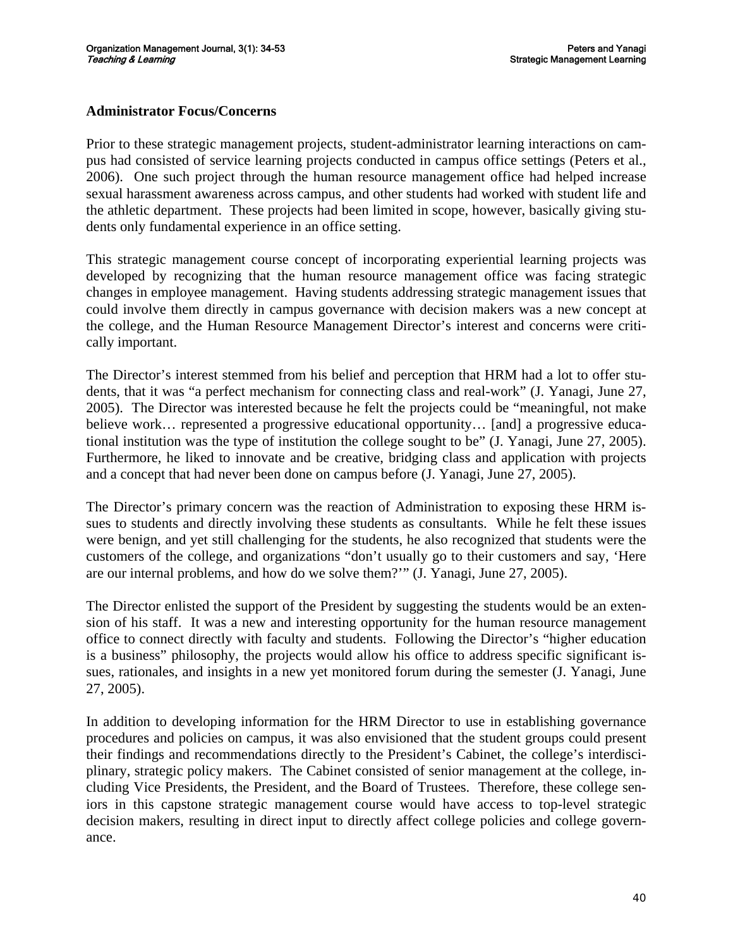# **Administrator Focus/Concerns**

Prior to these strategic management projects, student-administrator learning interactions on campus had consisted of service learning projects conducted in campus office settings (Peters et al., 2006). One such project through the human resource management office had helped increase sexual harassment awareness across campus, and other students had worked with student life and the athletic department. These projects had been limited in scope, however, basically giving students only fundamental experience in an office setting.

This strategic management course concept of incorporating experiential learning projects was developed by recognizing that the human resource management office was facing strategic changes in employee management. Having students addressing strategic management issues that could involve them directly in campus governance with decision makers was a new concept at the college, and the Human Resource Management Director's interest and concerns were critically important.

The Director's interest stemmed from his belief and perception that HRM had a lot to offer students, that it was "a perfect mechanism for connecting class and real-work" (J. Yanagi, June 27, 2005). The Director was interested because he felt the projects could be "meaningful, not make believe work… represented a progressive educational opportunity… [and] a progressive educational institution was the type of institution the college sought to be" (J. Yanagi, June 27, 2005). Furthermore, he liked to innovate and be creative, bridging class and application with projects and a concept that had never been done on campus before (J. Yanagi, June 27, 2005).

The Director's primary concern was the reaction of Administration to exposing these HRM issues to students and directly involving these students as consultants. While he felt these issues were benign, and yet still challenging for the students, he also recognized that students were the customers of the college, and organizations "don't usually go to their customers and say, 'Here are our internal problems, and how do we solve them?'" (J. Yanagi, June 27, 2005).

The Director enlisted the support of the President by suggesting the students would be an extension of his staff. It was a new and interesting opportunity for the human resource management office to connect directly with faculty and students. Following the Director's "higher education is a business" philosophy, the projects would allow his office to address specific significant issues, rationales, and insights in a new yet monitored forum during the semester (J. Yanagi, June 27, 2005).

In addition to developing information for the HRM Director to use in establishing governance procedures and policies on campus, it was also envisioned that the student groups could present their findings and recommendations directly to the President's Cabinet, the college's interdisciplinary, strategic policy makers. The Cabinet consisted of senior management at the college, including Vice Presidents, the President, and the Board of Trustees. Therefore, these college seniors in this capstone strategic management course would have access to top-level strategic decision makers, resulting in direct input to directly affect college policies and college governance.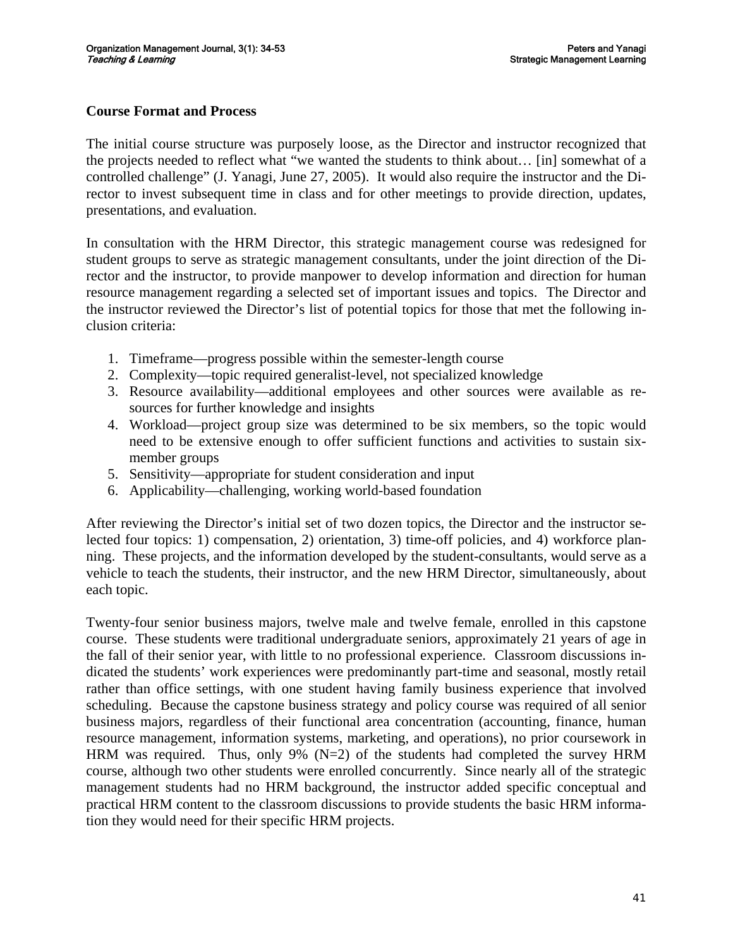# **Course Format and Process**

The initial course structure was purposely loose, as the Director and instructor recognized that the projects needed to reflect what "we wanted the students to think about… [in] somewhat of a controlled challenge" (J. Yanagi, June 27, 2005). It would also require the instructor and the Director to invest subsequent time in class and for other meetings to provide direction, updates, presentations, and evaluation.

In consultation with the HRM Director, this strategic management course was redesigned for student groups to serve as strategic management consultants, under the joint direction of the Director and the instructor, to provide manpower to develop information and direction for human resource management regarding a selected set of important issues and topics. The Director and the instructor reviewed the Director's list of potential topics for those that met the following inclusion criteria:

- 1. Timeframe—progress possible within the semester-length course
- 2. Complexity—topic required generalist-level, not specialized knowledge
- 3. Resource availability—additional employees and other sources were available as resources for further knowledge and insights
- 4. Workload—project group size was determined to be six members, so the topic would need to be extensive enough to offer sufficient functions and activities to sustain sixmember groups
- 5. Sensitivity—appropriate for student consideration and input
- 6. Applicability—challenging, working world-based foundation

After reviewing the Director's initial set of two dozen topics, the Director and the instructor selected four topics: 1) compensation, 2) orientation, 3) time-off policies, and 4) workforce planning. These projects, and the information developed by the student-consultants, would serve as a vehicle to teach the students, their instructor, and the new HRM Director, simultaneously, about each topic.

Twenty-four senior business majors, twelve male and twelve female, enrolled in this capstone course. These students were traditional undergraduate seniors, approximately 21 years of age in the fall of their senior year, with little to no professional experience. Classroom discussions indicated the students' work experiences were predominantly part-time and seasonal, mostly retail rather than office settings, with one student having family business experience that involved scheduling. Because the capstone business strategy and policy course was required of all senior business majors, regardless of their functional area concentration (accounting, finance, human resource management, information systems, marketing, and operations), no prior coursework in HRM was required. Thus, only 9%  $(N=2)$  of the students had completed the survey HRM course, although two other students were enrolled concurrently. Since nearly all of the strategic management students had no HRM background, the instructor added specific conceptual and practical HRM content to the classroom discussions to provide students the basic HRM information they would need for their specific HRM projects.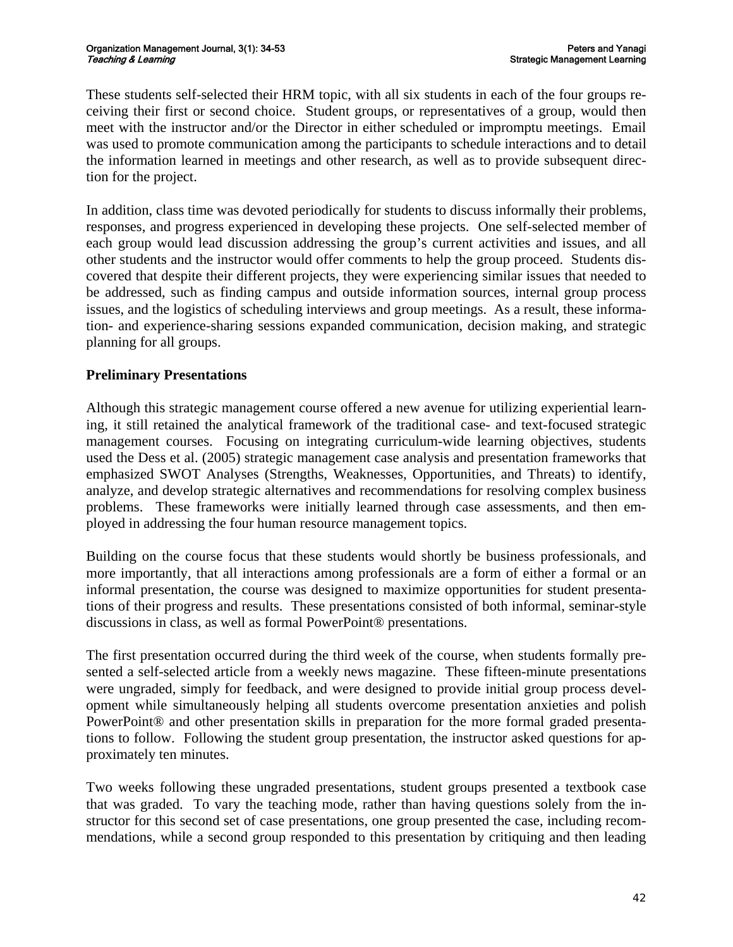These students self-selected their HRM topic, with all six students in each of the four groups receiving their first or second choice. Student groups, or representatives of a group, would then meet with the instructor and/or the Director in either scheduled or impromptu meetings. Email was used to promote communication among the participants to schedule interactions and to detail the information learned in meetings and other research, as well as to provide subsequent direction for the project.

In addition, class time was devoted periodically for students to discuss informally their problems, responses, and progress experienced in developing these projects. One self-selected member of each group would lead discussion addressing the group's current activities and issues, and all other students and the instructor would offer comments to help the group proceed. Students discovered that despite their different projects, they were experiencing similar issues that needed to be addressed, such as finding campus and outside information sources, internal group process issues, and the logistics of scheduling interviews and group meetings. As a result, these information- and experience-sharing sessions expanded communication, decision making, and strategic planning for all groups.

# **Preliminary Presentations**

Although this strategic management course offered a new avenue for utilizing experiential learning, it still retained the analytical framework of the traditional case- and text-focused strategic management courses. Focusing on integrating curriculum-wide learning objectives, students used the Dess et al. (2005) strategic management case analysis and presentation frameworks that emphasized SWOT Analyses (Strengths, Weaknesses, Opportunities, and Threats) to identify, analyze, and develop strategic alternatives and recommendations for resolving complex business problems. These frameworks were initially learned through case assessments, and then employed in addressing the four human resource management topics.

Building on the course focus that these students would shortly be business professionals, and more importantly, that all interactions among professionals are a form of either a formal or an informal presentation, the course was designed to maximize opportunities for student presentations of their progress and results. These presentations consisted of both informal, seminar-style discussions in class, as well as formal PowerPoint® presentations.

The first presentation occurred during the third week of the course, when students formally presented a self-selected article from a weekly news magazine. These fifteen-minute presentations were ungraded, simply for feedback, and were designed to provide initial group process development while simultaneously helping all students overcome presentation anxieties and polish PowerPoint® and other presentation skills in preparation for the more formal graded presentations to follow. Following the student group presentation, the instructor asked questions for approximately ten minutes.

Two weeks following these ungraded presentations, student groups presented a textbook case that was graded. To vary the teaching mode, rather than having questions solely from the instructor for this second set of case presentations, one group presented the case, including recommendations, while a second group responded to this presentation by critiquing and then leading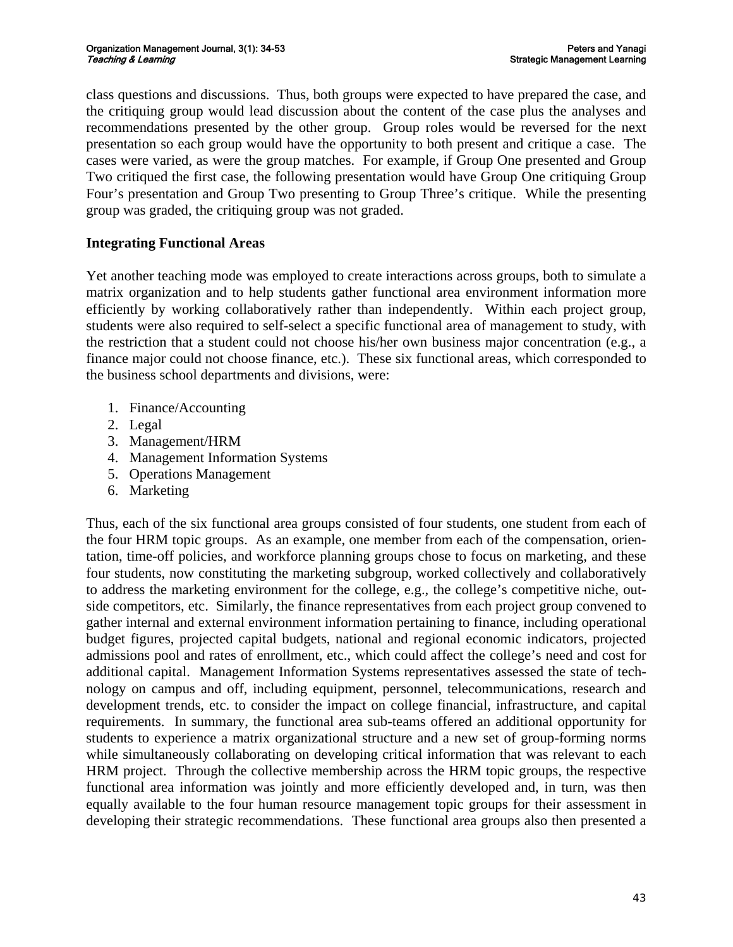class questions and discussions. Thus, both groups were expected to have prepared the case, and the critiquing group would lead discussion about the content of the case plus the analyses and recommendations presented by the other group. Group roles would be reversed for the next presentation so each group would have the opportunity to both present and critique a case. The cases were varied, as were the group matches. For example, if Group One presented and Group Two critiqued the first case, the following presentation would have Group One critiquing Group Four's presentation and Group Two presenting to Group Three's critique. While the presenting group was graded, the critiquing group was not graded.

# **Integrating Functional Areas**

Yet another teaching mode was employed to create interactions across groups, both to simulate a matrix organization and to help students gather functional area environment information more efficiently by working collaboratively rather than independently. Within each project group, students were also required to self-select a specific functional area of management to study, with the restriction that a student could not choose his/her own business major concentration (e.g., a finance major could not choose finance, etc.). These six functional areas, which corresponded to the business school departments and divisions, were:

- 1. Finance/Accounting
- 2. Legal
- 3. Management/HRM
- 4. Management Information Systems
- 5. Operations Management
- 6. Marketing

Thus, each of the six functional area groups consisted of four students, one student from each of the four HRM topic groups. As an example, one member from each of the compensation, orientation, time-off policies, and workforce planning groups chose to focus on marketing, and these four students, now constituting the marketing subgroup, worked collectively and collaboratively to address the marketing environment for the college, e.g., the college's competitive niche, outside competitors, etc. Similarly, the finance representatives from each project group convened to gather internal and external environment information pertaining to finance, including operational budget figures, projected capital budgets, national and regional economic indicators, projected admissions pool and rates of enrollment, etc., which could affect the college's need and cost for additional capital. Management Information Systems representatives assessed the state of technology on campus and off, including equipment, personnel, telecommunications, research and development trends, etc. to consider the impact on college financial, infrastructure, and capital requirements. In summary, the functional area sub-teams offered an additional opportunity for students to experience a matrix organizational structure and a new set of group-forming norms while simultaneously collaborating on developing critical information that was relevant to each HRM project. Through the collective membership across the HRM topic groups, the respective functional area information was jointly and more efficiently developed and, in turn, was then equally available to the four human resource management topic groups for their assessment in developing their strategic recommendations. These functional area groups also then presented a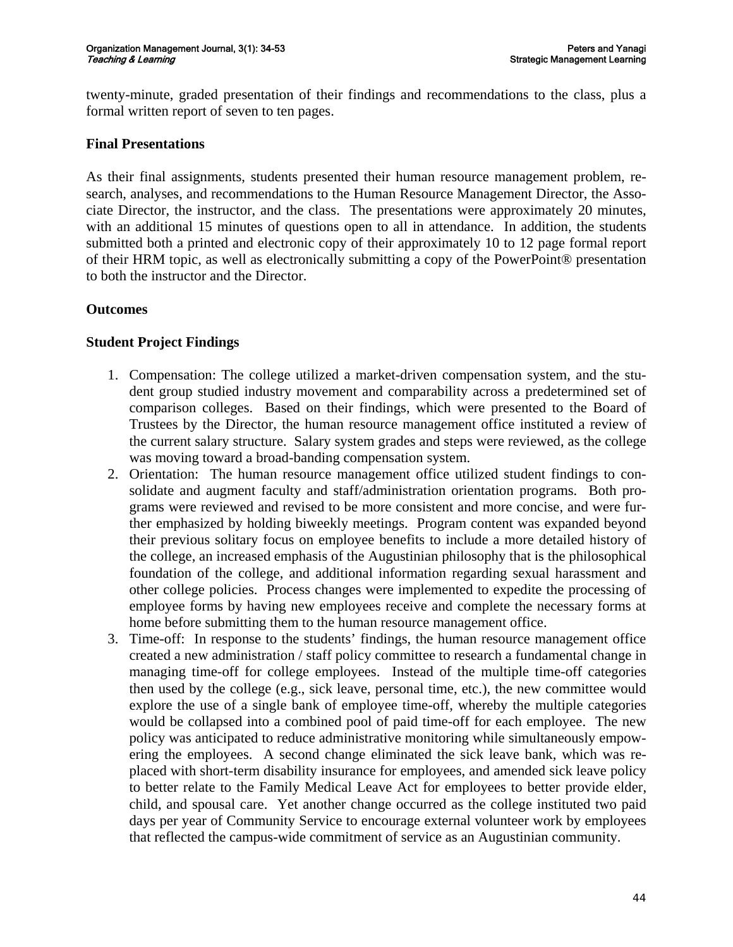twenty-minute, graded presentation of their findings and recommendations to the class, plus a formal written report of seven to ten pages.

# **Final Presentations**

As their final assignments, students presented their human resource management problem, research, analyses, and recommendations to the Human Resource Management Director, the Associate Director, the instructor, and the class. The presentations were approximately 20 minutes, with an additional 15 minutes of questions open to all in attendance. In addition, the students submitted both a printed and electronic copy of their approximately 10 to 12 page formal report of their HRM topic, as well as electronically submitting a copy of the PowerPoint® presentation to both the instructor and the Director.

# **Outcomes**

# **Student Project Findings**

- 1. Compensation: The college utilized a market-driven compensation system, and the student group studied industry movement and comparability across a predetermined set of comparison colleges. Based on their findings, which were presented to the Board of Trustees by the Director, the human resource management office instituted a review of the current salary structure. Salary system grades and steps were reviewed, as the college was moving toward a broad-banding compensation system.
- 2. Orientation: The human resource management office utilized student findings to consolidate and augment faculty and staff/administration orientation programs. Both programs were reviewed and revised to be more consistent and more concise, and were further emphasized by holding biweekly meetings. Program content was expanded beyond their previous solitary focus on employee benefits to include a more detailed history of the college, an increased emphasis of the Augustinian philosophy that is the philosophical foundation of the college, and additional information regarding sexual harassment and other college policies. Process changes were implemented to expedite the processing of employee forms by having new employees receive and complete the necessary forms at home before submitting them to the human resource management office.
- 3. Time-off: In response to the students' findings, the human resource management office created a new administration / staff policy committee to research a fundamental change in managing time-off for college employees. Instead of the multiple time-off categories then used by the college (e.g., sick leave, personal time, etc.), the new committee would explore the use of a single bank of employee time-off, whereby the multiple categories would be collapsed into a combined pool of paid time-off for each employee. The new policy was anticipated to reduce administrative monitoring while simultaneously empowering the employees. A second change eliminated the sick leave bank, which was replaced with short-term disability insurance for employees, and amended sick leave policy to better relate to the Family Medical Leave Act for employees to better provide elder, child, and spousal care. Yet another change occurred as the college instituted two paid days per year of Community Service to encourage external volunteer work by employees that reflected the campus-wide commitment of service as an Augustinian community.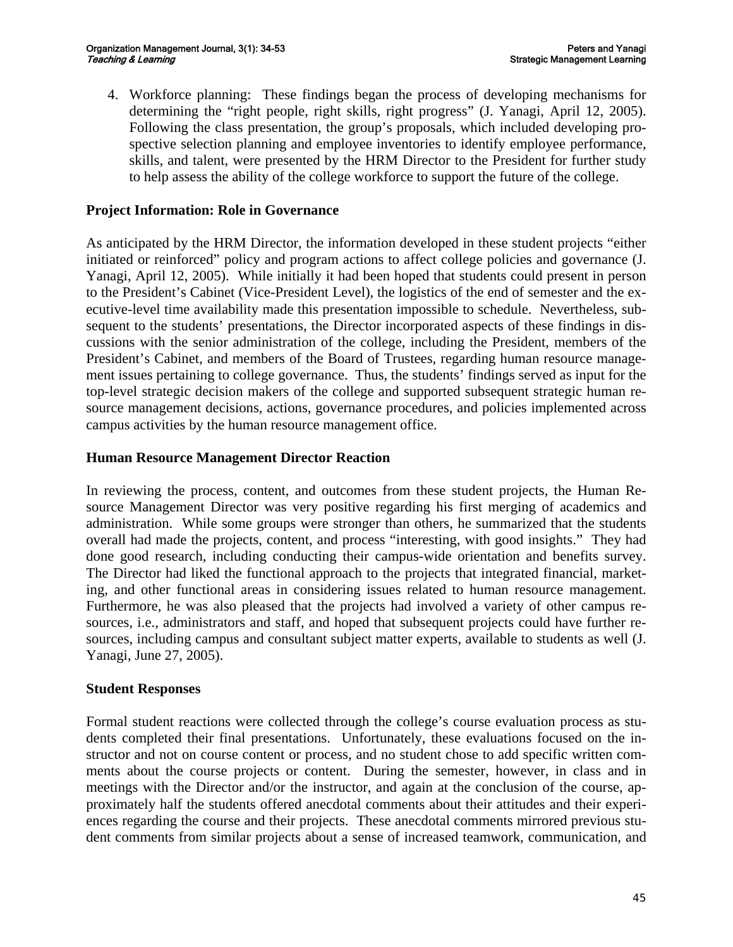4. Workforce planning: These findings began the process of developing mechanisms for determining the "right people, right skills, right progress" (J. Yanagi, April 12, 2005). Following the class presentation, the group's proposals, which included developing prospective selection planning and employee inventories to identify employee performance, skills, and talent, were presented by the HRM Director to the President for further study to help assess the ability of the college workforce to support the future of the college.

# **Project Information: Role in Governance**

As anticipated by the HRM Director, the information developed in these student projects "either initiated or reinforced" policy and program actions to affect college policies and governance (J. Yanagi, April 12, 2005). While initially it had been hoped that students could present in person to the President's Cabinet (Vice-President Level), the logistics of the end of semester and the executive-level time availability made this presentation impossible to schedule. Nevertheless, subsequent to the students' presentations, the Director incorporated aspects of these findings in discussions with the senior administration of the college, including the President, members of the President's Cabinet, and members of the Board of Trustees, regarding human resource management issues pertaining to college governance. Thus, the students' findings served as input for the top-level strategic decision makers of the college and supported subsequent strategic human resource management decisions, actions, governance procedures, and policies implemented across campus activities by the human resource management office.

#### **Human Resource Management Director Reaction**

In reviewing the process, content, and outcomes from these student projects, the Human Resource Management Director was very positive regarding his first merging of academics and administration. While some groups were stronger than others, he summarized that the students overall had made the projects, content, and process "interesting, with good insights." They had done good research, including conducting their campus-wide orientation and benefits survey. The Director had liked the functional approach to the projects that integrated financial, marketing, and other functional areas in considering issues related to human resource management. Furthermore, he was also pleased that the projects had involved a variety of other campus resources, i.e., administrators and staff, and hoped that subsequent projects could have further resources, including campus and consultant subject matter experts, available to students as well (J. Yanagi, June 27, 2005).

#### **Student Responses**

Formal student reactions were collected through the college's course evaluation process as students completed their final presentations. Unfortunately, these evaluations focused on the instructor and not on course content or process, and no student chose to add specific written comments about the course projects or content. During the semester, however, in class and in meetings with the Director and/or the instructor, and again at the conclusion of the course, approximately half the students offered anecdotal comments about their attitudes and their experiences regarding the course and their projects. These anecdotal comments mirrored previous student comments from similar projects about a sense of increased teamwork, communication, and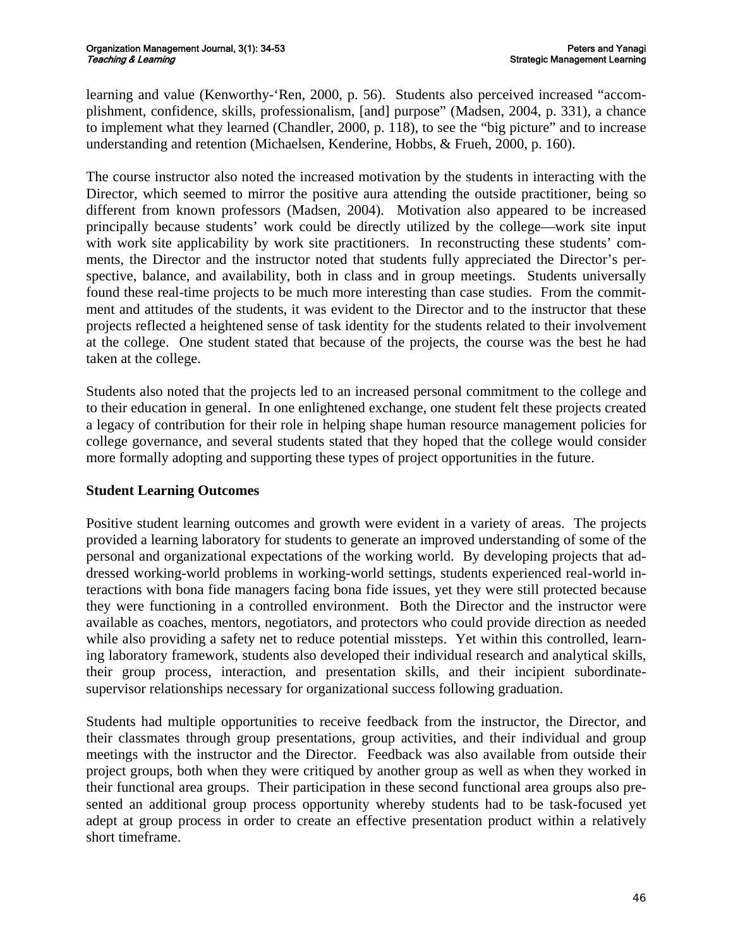learning and value (Kenworthy-'Ren, 2000, p. 56). Students also perceived increased "accomplishment, confidence, skills, professionalism, [and] purpose" (Madsen, 2004, p. 331), a chance to implement what they learned (Chandler, 2000, p. 118), to see the "big picture" and to increase understanding and retention (Michaelsen, Kenderine, Hobbs, & Frueh, 2000, p. 160).

The course instructor also noted the increased motivation by the students in interacting with the Director, which seemed to mirror the positive aura attending the outside practitioner, being so different from known professors (Madsen, 2004). Motivation also appeared to be increased principally because students' work could be directly utilized by the college—work site input with work site applicability by work site practitioners. In reconstructing these students' comments, the Director and the instructor noted that students fully appreciated the Director's perspective, balance, and availability, both in class and in group meetings. Students universally found these real-time projects to be much more interesting than case studies. From the commitment and attitudes of the students, it was evident to the Director and to the instructor that these projects reflected a heightened sense of task identity for the students related to their involvement at the college. One student stated that because of the projects, the course was the best he had taken at the college.

Students also noted that the projects led to an increased personal commitment to the college and to their education in general. In one enlightened exchange, one student felt these projects created a legacy of contribution for their role in helping shape human resource management policies for college governance, and several students stated that they hoped that the college would consider more formally adopting and supporting these types of project opportunities in the future.

# **Student Learning Outcomes**

Positive student learning outcomes and growth were evident in a variety of areas. The projects provided a learning laboratory for students to generate an improved understanding of some of the personal and organizational expectations of the working world. By developing projects that addressed working-world problems in working-world settings, students experienced real-world interactions with bona fide managers facing bona fide issues, yet they were still protected because they were functioning in a controlled environment. Both the Director and the instructor were available as coaches, mentors, negotiators, and protectors who could provide direction as needed while also providing a safety net to reduce potential missteps. Yet within this controlled, learning laboratory framework, students also developed their individual research and analytical skills, their group process, interaction, and presentation skills, and their incipient subordinatesupervisor relationships necessary for organizational success following graduation.

Students had multiple opportunities to receive feedback from the instructor, the Director, and their classmates through group presentations, group activities, and their individual and group meetings with the instructor and the Director. Feedback was also available from outside their project groups, both when they were critiqued by another group as well as when they worked in their functional area groups. Their participation in these second functional area groups also presented an additional group process opportunity whereby students had to be task-focused yet adept at group process in order to create an effective presentation product within a relatively short timeframe.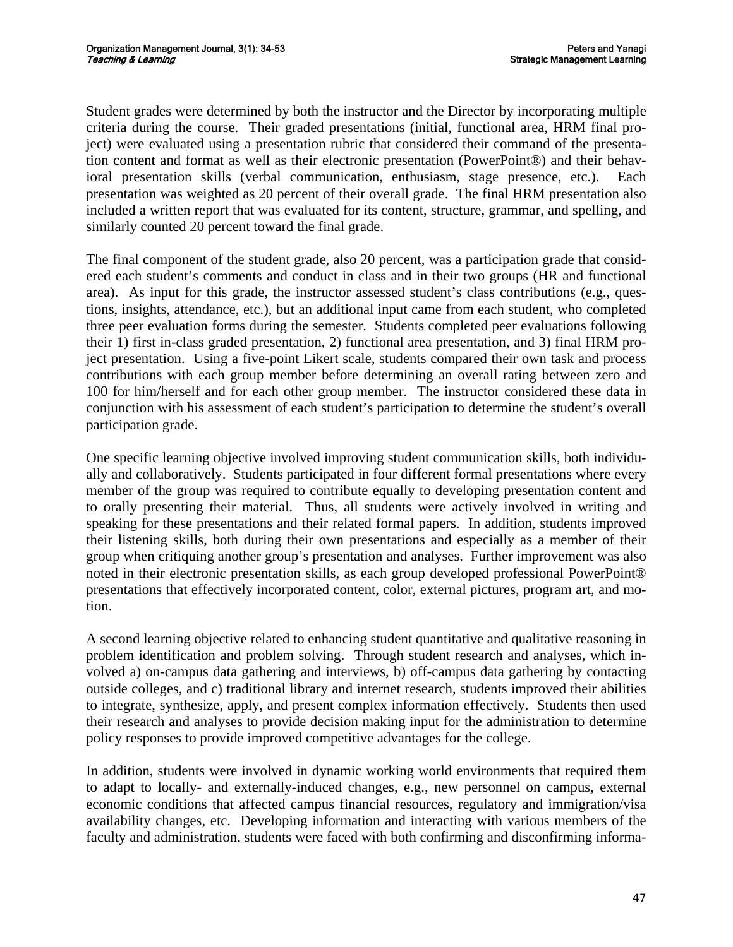Student grades were determined by both the instructor and the Director by incorporating multiple criteria during the course. Their graded presentations (initial, functional area, HRM final project) were evaluated using a presentation rubric that considered their command of the presentation content and format as well as their electronic presentation (PowerPoint®) and their behavioral presentation skills (verbal communication, enthusiasm, stage presence, etc.). Each presentation was weighted as 20 percent of their overall grade. The final HRM presentation also included a written report that was evaluated for its content, structure, grammar, and spelling, and similarly counted 20 percent toward the final grade.

The final component of the student grade, also 20 percent, was a participation grade that considered each student's comments and conduct in class and in their two groups (HR and functional area). As input for this grade, the instructor assessed student's class contributions (e.g., questions, insights, attendance, etc.), but an additional input came from each student, who completed three peer evaluation forms during the semester. Students completed peer evaluations following their 1) first in-class graded presentation, 2) functional area presentation, and 3) final HRM project presentation. Using a five-point Likert scale, students compared their own task and process contributions with each group member before determining an overall rating between zero and 100 for him/herself and for each other group member. The instructor considered these data in conjunction with his assessment of each student's participation to determine the student's overall participation grade.

One specific learning objective involved improving student communication skills, both individually and collaboratively. Students participated in four different formal presentations where every member of the group was required to contribute equally to developing presentation content and to orally presenting their material. Thus, all students were actively involved in writing and speaking for these presentations and their related formal papers. In addition, students improved their listening skills, both during their own presentations and especially as a member of their group when critiquing another group's presentation and analyses. Further improvement was also noted in their electronic presentation skills, as each group developed professional PowerPoint® presentations that effectively incorporated content, color, external pictures, program art, and motion.

A second learning objective related to enhancing student quantitative and qualitative reasoning in problem identification and problem solving. Through student research and analyses, which involved a) on-campus data gathering and interviews, b) off-campus data gathering by contacting outside colleges, and c) traditional library and internet research, students improved their abilities to integrate, synthesize, apply, and present complex information effectively. Students then used their research and analyses to provide decision making input for the administration to determine policy responses to provide improved competitive advantages for the college.

In addition, students were involved in dynamic working world environments that required them to adapt to locally- and externally-induced changes, e.g., new personnel on campus, external economic conditions that affected campus financial resources, regulatory and immigration/visa availability changes, etc. Developing information and interacting with various members of the faculty and administration, students were faced with both confirming and disconfirming informa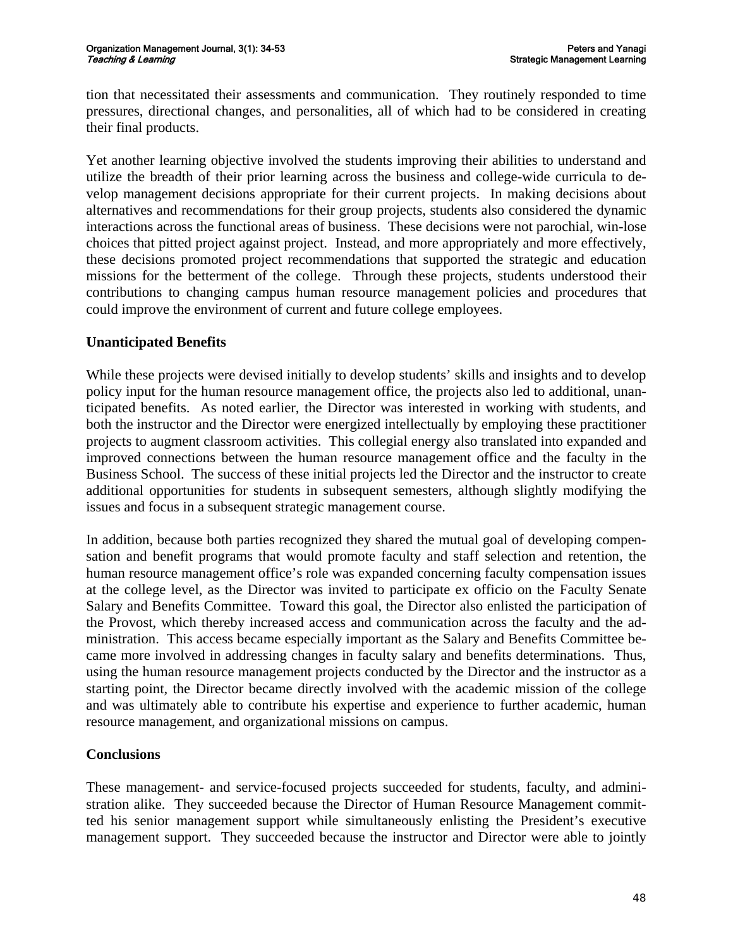tion that necessitated their assessments and communication. They routinely responded to time pressures, directional changes, and personalities, all of which had to be considered in creating their final products.

Yet another learning objective involved the students improving their abilities to understand and utilize the breadth of their prior learning across the business and college-wide curricula to develop management decisions appropriate for their current projects. In making decisions about alternatives and recommendations for their group projects, students also considered the dynamic interactions across the functional areas of business. These decisions were not parochial, win-lose choices that pitted project against project. Instead, and more appropriately and more effectively, these decisions promoted project recommendations that supported the strategic and education missions for the betterment of the college. Through these projects, students understood their contributions to changing campus human resource management policies and procedures that could improve the environment of current and future college employees.

# **Unanticipated Benefits**

While these projects were devised initially to develop students' skills and insights and to develop policy input for the human resource management office, the projects also led to additional, unanticipated benefits. As noted earlier, the Director was interested in working with students, and both the instructor and the Director were energized intellectually by employing these practitioner projects to augment classroom activities. This collegial energy also translated into expanded and improved connections between the human resource management office and the faculty in the Business School. The success of these initial projects led the Director and the instructor to create additional opportunities for students in subsequent semesters, although slightly modifying the issues and focus in a subsequent strategic management course.

In addition, because both parties recognized they shared the mutual goal of developing compensation and benefit programs that would promote faculty and staff selection and retention, the human resource management office's role was expanded concerning faculty compensation issues at the college level, as the Director was invited to participate ex officio on the Faculty Senate Salary and Benefits Committee. Toward this goal, the Director also enlisted the participation of the Provost, which thereby increased access and communication across the faculty and the administration. This access became especially important as the Salary and Benefits Committee became more involved in addressing changes in faculty salary and benefits determinations. Thus, using the human resource management projects conducted by the Director and the instructor as a starting point, the Director became directly involved with the academic mission of the college and was ultimately able to contribute his expertise and experience to further academic, human resource management, and organizational missions on campus.

#### **Conclusions**

These management- and service-focused projects succeeded for students, faculty, and administration alike. They succeeded because the Director of Human Resource Management committed his senior management support while simultaneously enlisting the President's executive management support. They succeeded because the instructor and Director were able to jointly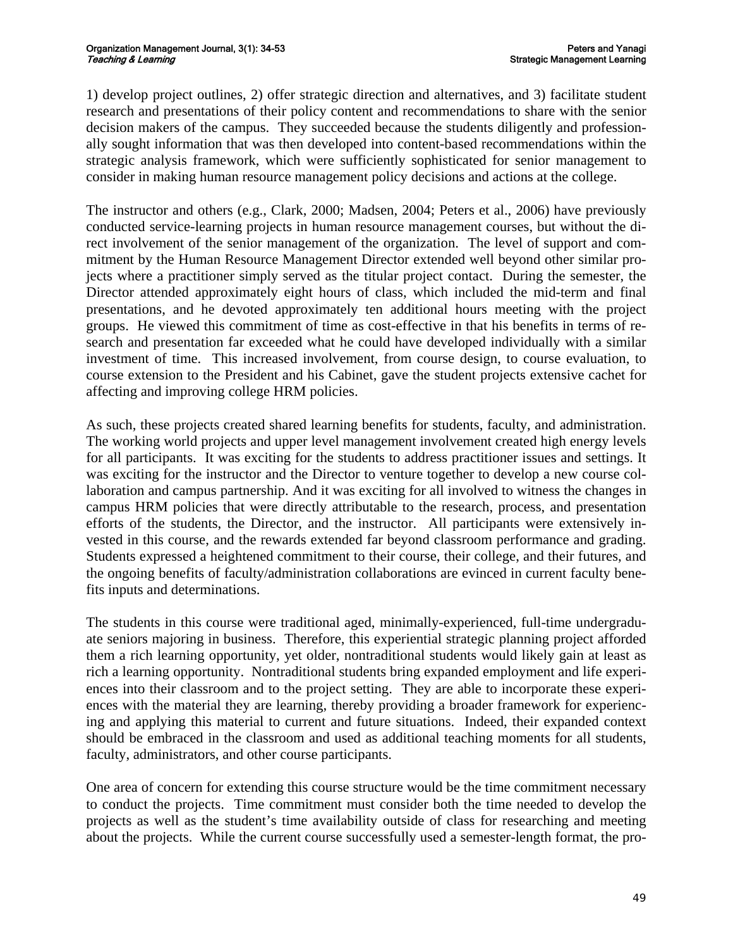1) develop project outlines, 2) offer strategic direction and alternatives, and 3) facilitate student research and presentations of their policy content and recommendations to share with the senior decision makers of the campus. They succeeded because the students diligently and professionally sought information that was then developed into content-based recommendations within the strategic analysis framework, which were sufficiently sophisticated for senior management to consider in making human resource management policy decisions and actions at the college.

The instructor and others (e.g., Clark, 2000; Madsen, 2004; Peters et al., 2006) have previously conducted service-learning projects in human resource management courses, but without the direct involvement of the senior management of the organization. The level of support and commitment by the Human Resource Management Director extended well beyond other similar projects where a practitioner simply served as the titular project contact. During the semester, the Director attended approximately eight hours of class, which included the mid-term and final presentations, and he devoted approximately ten additional hours meeting with the project groups. He viewed this commitment of time as cost-effective in that his benefits in terms of research and presentation far exceeded what he could have developed individually with a similar investment of time. This increased involvement, from course design, to course evaluation, to course extension to the President and his Cabinet, gave the student projects extensive cachet for affecting and improving college HRM policies.

As such, these projects created shared learning benefits for students, faculty, and administration. The working world projects and upper level management involvement created high energy levels for all participants. It was exciting for the students to address practitioner issues and settings. It was exciting for the instructor and the Director to venture together to develop a new course collaboration and campus partnership. And it was exciting for all involved to witness the changes in campus HRM policies that were directly attributable to the research, process, and presentation efforts of the students, the Director, and the instructor. All participants were extensively invested in this course, and the rewards extended far beyond classroom performance and grading. Students expressed a heightened commitment to their course, their college, and their futures, and the ongoing benefits of faculty/administration collaborations are evinced in current faculty benefits inputs and determinations.

The students in this course were traditional aged, minimally-experienced, full-time undergraduate seniors majoring in business. Therefore, this experiential strategic planning project afforded them a rich learning opportunity, yet older, nontraditional students would likely gain at least as rich a learning opportunity. Nontraditional students bring expanded employment and life experiences into their classroom and to the project setting. They are able to incorporate these experiences with the material they are learning, thereby providing a broader framework for experiencing and applying this material to current and future situations. Indeed, their expanded context should be embraced in the classroom and used as additional teaching moments for all students, faculty, administrators, and other course participants.

One area of concern for extending this course structure would be the time commitment necessary to conduct the projects. Time commitment must consider both the time needed to develop the projects as well as the student's time availability outside of class for researching and meeting about the projects. While the current course successfully used a semester-length format, the pro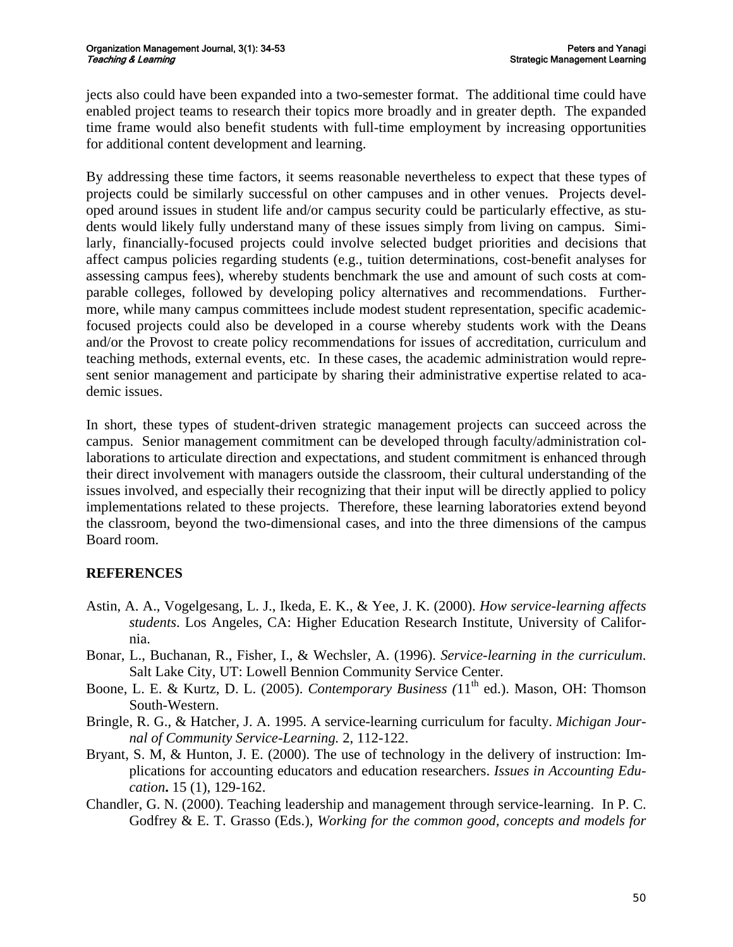jects also could have been expanded into a two-semester format. The additional time could have enabled project teams to research their topics more broadly and in greater depth. The expanded time frame would also benefit students with full-time employment by increasing opportunities for additional content development and learning.

By addressing these time factors, it seems reasonable nevertheless to expect that these types of projects could be similarly successful on other campuses and in other venues. Projects developed around issues in student life and/or campus security could be particularly effective, as students would likely fully understand many of these issues simply from living on campus. Similarly, financially-focused projects could involve selected budget priorities and decisions that affect campus policies regarding students (e.g., tuition determinations, cost-benefit analyses for assessing campus fees), whereby students benchmark the use and amount of such costs at comparable colleges, followed by developing policy alternatives and recommendations. Furthermore, while many campus committees include modest student representation, specific academicfocused projects could also be developed in a course whereby students work with the Deans and/or the Provost to create policy recommendations for issues of accreditation, curriculum and teaching methods, external events, etc. In these cases, the academic administration would represent senior management and participate by sharing their administrative expertise related to academic issues.

In short, these types of student-driven strategic management projects can succeed across the campus. Senior management commitment can be developed through faculty/administration collaborations to articulate direction and expectations, and student commitment is enhanced through their direct involvement with managers outside the classroom, their cultural understanding of the issues involved, and especially their recognizing that their input will be directly applied to policy implementations related to these projects. Therefore, these learning laboratories extend beyond the classroom, beyond the two-dimensional cases, and into the three dimensions of the campus Board room.

# **REFERENCES**

- Astin, A. A., Vogelgesang, L. J., Ikeda, E. K., & Yee, J. K. (2000). *How service-learning affects students*. Los Angeles, CA: Higher Education Research Institute, University of California.
- Bonar, L., Buchanan, R., Fisher, I., & Wechsler, A. (1996). *Service-learning in the curriculum*. Salt Lake City, UT: Lowell Bennion Community Service Center.
- Boone, L. E. & Kurtz, D. L. (2005). *Contemporary Business* (11<sup>th</sup> ed.). Mason, OH: Thomson South-Western.
- Bringle, R. G., & Hatcher, J. A. 1995. A service-learning curriculum for faculty. *Michigan Journal of Community Service-Learning.* 2, 112-122.
- Bryant, S. M, & Hunton, J. E. (2000). The use of technology in the delivery of instruction: Implications for accounting educators and education researchers. *Issues in Accounting Education***.** 15 (1), 129-162.
- Chandler, G. N. (2000). Teaching leadership and management through service-learning. In P. C. Godfrey & E. T. Grasso (Eds.), *Working for the common good, concepts and models for*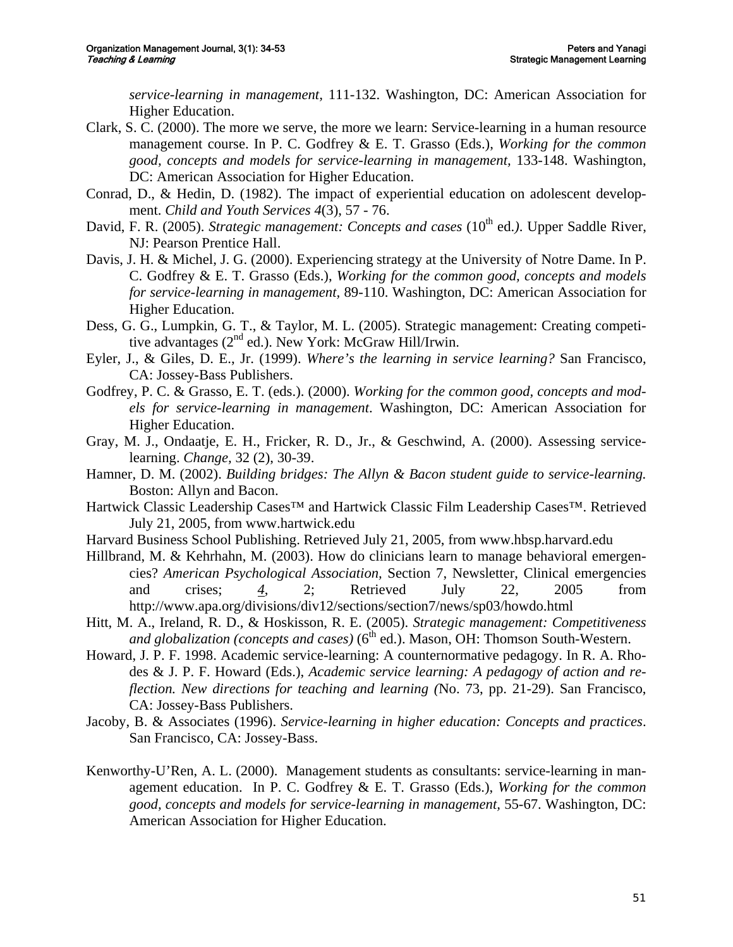*service-learning in management,* 111-132. Washington, DC: American Association for Higher Education.

- Clark, S. C. (2000). The more we serve, the more we learn: Service-learning in a human resource management course. In P. C. Godfrey & E. T. Grasso (Eds.), *Working for the common good, concepts and models for service-learning in management,* 133-148. Washington, DC: American Association for Higher Education.
- Conrad, D., & Hedin, D. (1982). The impact of experiential education on adolescent development. *Child and Youth Services 4*(3), 57 - 76.
- David, F. R. (2005). *Strategic management: Concepts and cases* (10<sup>th</sup> ed.). Upper Saddle River, NJ: Pearson Prentice Hall.
- Davis, J. H. & Michel, J. G. (2000). Experiencing strategy at the University of Notre Dame. In P. C. Godfrey & E. T. Grasso (Eds.), *Working for the common good, concepts and models for service-learning in management,* 89-110. Washington, DC: American Association for Higher Education.
- Dess, G. G., Lumpkin, G. T., & Taylor, M. L. (2005). Strategic management: Creating competitive advantages (2nd ed.). New York: McGraw Hill/Irwin.
- Eyler, J., & Giles, D. E., Jr. (1999). *Where's the learning in service learning?* San Francisco, CA: Jossey-Bass Publishers.
- Godfrey, P. C. & Grasso, E. T. (eds.). (2000). *Working for the common good, concepts and models for service-learning in management*. Washington, DC: American Association for Higher Education.
- Gray, M. J., Ondaatje, E. H., Fricker, R. D., Jr., & Geschwind, A. (2000). Assessing servicelearning. *Change,* 32 (2), 30-39.
- Hamner, D. M. (2002). *Building bridges: The Allyn & Bacon student guide to service-learning.* Boston: Allyn and Bacon.
- Hartwick Classic Leadership Cases™ and Hartwick Classic Film Leadership Cases™. Retrieved July 21, 2005, from www.hartwick.edu
- Harvard Business School Publishing. Retrieved July 21, 2005, from [www.hbsp.harvard.edu](http://www.hbsp.harvard.edu/)
- Hillbrand, M. & Kehrhahn, M. (2003). How do clinicians learn to manage behavioral emergencies? *American Psychological Association,* Section 7, Newsletter, Clinical emergencies and crises; *4*, 2; Retrieved July 22, 2005 from http://www.apa.org/divisions/div12/sections/section7/news/sp03/howdo.html
- Hitt, M. A., Ireland, R. D., & Hoskisson, R. E. (2005). *Strategic management: Competitiveness and globalization (concepts and cases)* (6<sup>th</sup> ed.). Mason, OH: Thomson South-Western.
- Howard, J. P. F. 1998. Academic service-learning: A counternormative pedagogy. In R. A. Rhodes & J. P. F. Howard (Eds.), *Academic service learning: A pedagogy of action and reflection. New directions for teaching and learning (*No. 73, pp. 21-29). San Francisco, CA: Jossey-Bass Publishers.
- Jacoby, B. & Associates (1996). *Service-learning in higher education: Concepts and practices*. San Francisco, CA: Jossey-Bass.
- Kenworthy-U'Ren, A. L. (2000). Management students as consultants: service-learning in management education. In P. C. Godfrey & E. T. Grasso (Eds.), *Working for the common good, concepts and models for service-learning in management,* 55-67. Washington, DC: American Association for Higher Education.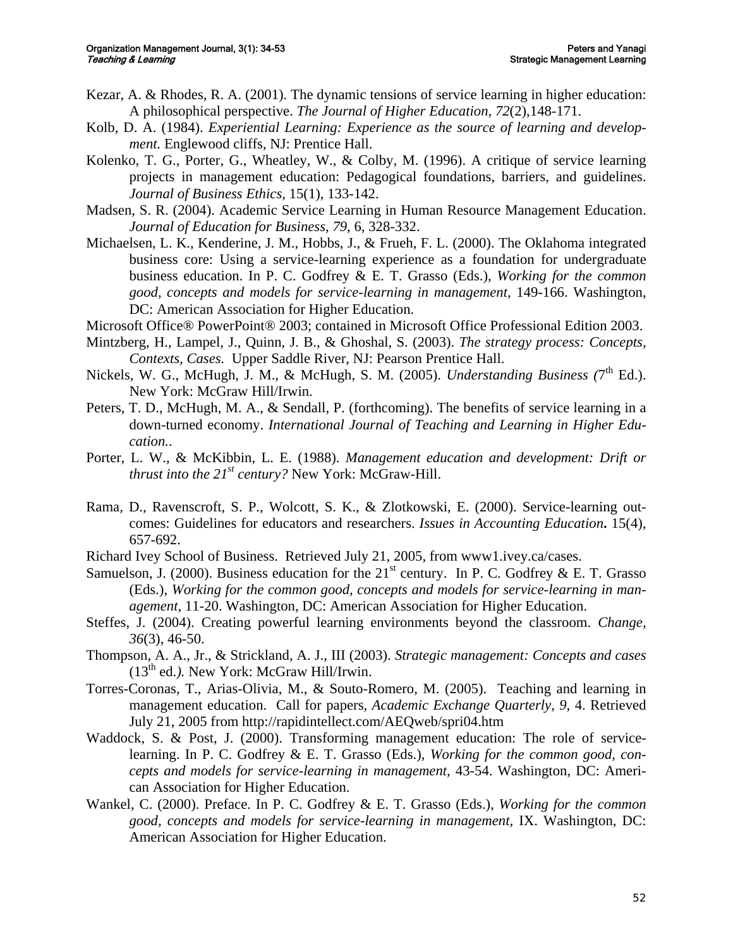- Kezar, A. & Rhodes, R. A. (2001). The dynamic tensions of service learning in higher education: A philosophical perspective. *The Journal of Higher Education, 72*(2),148-171.
- Kolb, D. A. (1984). *Experiential Learning: Experience as the source of learning and development.* Englewood cliffs, NJ: Prentice Hall.
- Kolenko, T. G., Porter, G., Wheatley, W., & Colby, M. (1996). A critique of service learning projects in management education: Pedagogical foundations, barriers, and guidelines. *Journal of Business Ethics,* 15(1), 133-142.
- Madsen, S. R. (2004). Academic Service Learning in Human Resource Management Education. *Journal of Education for Business, 79*, 6, 328-332.
- Michaelsen, L. K., Kenderine, J. M., Hobbs, J., & Frueh, F. L. (2000). The Oklahoma integrated business core: Using a service-learning experience as a foundation for undergraduate business education. In P. C. Godfrey & E. T. Grasso (Eds.), *Working for the common good, concepts and models for service-learning in management,* 149-166. Washington, DC: American Association for Higher Education.
- Microsoft Office® PowerPoint® 2003; contained in Microsoft Office Professional Edition 2003.
- Mintzberg, H., Lampel, J., Quinn, J. B., & Ghoshal, S. (2003). *The strategy process: Concepts, Contexts, Cases.* Upper Saddle River, NJ: Pearson Prentice Hall.
- Nickels, W. G., McHugh, J. M., & McHugh, S. M. (2005). *Understanding Business (*7th Ed.). New York: McGraw Hill/Irwin.
- Peters, T. D., McHugh, M. A., & Sendall, P. (forthcoming). The benefits of service learning in a down-turned economy. *International Journal of Teaching and Learning in Higher Education.*.
- Porter, L. W., & McKibbin, L. E. (1988). *Management education and development: Drift or thrust into the 21st century?* New York: McGraw-Hill.
- Rama*,* D., Ravenscroft, S. P., Wolcott, S. K., & Zlotkowski, E. (2000). Service-learning outcomes: Guidelines for educators and researchers. *Issues in Accounting Education***.** 15(4), 657-692.
- Richard Ivey School of Business. Retrieved July 21, 2005, from www1.ivey.ca/cases.
- Samuelson, J. (2000). Business education for the  $21<sup>st</sup>$  century. In P. C. Godfrey & E. T. Grasso (Eds.), *Working for the common good, concepts and models for service-learning in management,* 11-20. Washington, DC: American Association for Higher Education.
- Steffes, J. (2004). Creating powerful learning environments beyond the classroom. *Change, 36*(3), 46-50.
- Thompson, A. A., Jr., & Strickland, A. J., III (2003). *Strategic management: Concepts and cases*  (13th ed.*).* New York: McGraw Hill/Irwin.
- Torres-Coronas, T., Arias-Olivia, M., & Souto-Romero, M. (2005). Teaching and learning in management education. Call for papers, *Academic Exchange Quarterly*, *9*, 4. Retrieved July 21, 2005 from<http://rapidintellect.com/AEQweb/spri04.htm>
- Waddock, S. & Post, J. (2000). Transforming management education: The role of servicelearning. In P. C. Godfrey & E. T. Grasso (Eds.), *Working for the common good, concepts and models for service-learning in management,* 43-54. Washington, DC: American Association for Higher Education.
- Wankel, C. (2000). Preface. In P. C. Godfrey & E. T. Grasso (Eds.), *Working for the common good, concepts and models for service-learning in management,* IX. Washington, DC: American Association for Higher Education.